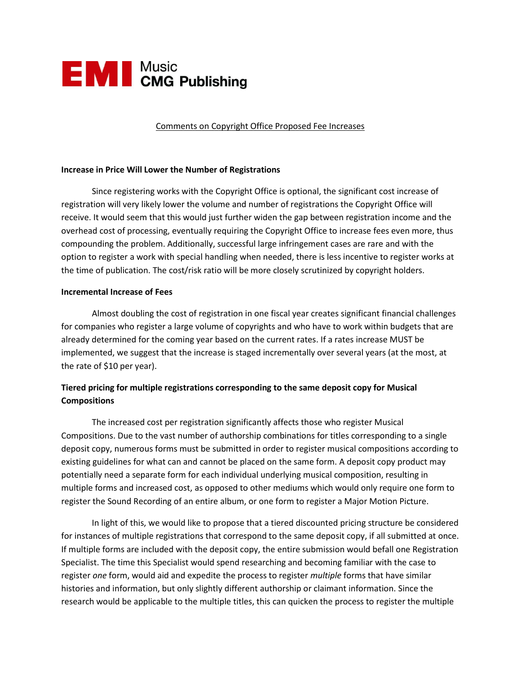

Comments on Copyright Office Proposed Fee Increases

## **Increase in Price Will Lower the Number of Registrations**

Since registering works with the Copyright Office is optional, the significant cost increase of registration will very likely lower the volume and number of registrations the Copyright Office will receive. It would seem that this would just further widen the gap between registration income and the overhead cost of processing, eventually requiring the Copyright Office to increase fees even more, thus compounding the problem. Additionally, successful large infringement cases are rare and with the option to register a work with special handling when needed, there is less incentive to register works at the time of publication. The cost/risk ratio will be more closely scrutinized by copyright holders.

## **Incremental Increase of Fees**

Almost doubling the cost of registration in one fiscal year creates significant financial challenges for companies who register a large volume of copyrights and who have to work within budgets that are already determined for the coming year based on the current rates. If a rates increase MUST be implemented, we suggest that the increase is staged incrementally over several years (at the most, at the rate of \$10 per year).

## **Tiered pricing for multiple registrations corresponding to the same deposit copy for Musical Compositions**

The increased cost per registration significantly affects those who register Musical Compositions. Due to the vast number of authorship combinations for titles corresponding to a single deposit copy, numerous forms must be submitted in order to register musical compositions according to existing guidelines for what can and cannot be placed on the same form. A deposit copy product may potentially need a separate form for each individual underlying musical composition, resulting in multiple forms and increased cost, as opposed to other mediums which would only require one form to register the Sound Recording of an entire album, or one form to register a Major Motion Picture.

In light of this, we would like to propose that a tiered discounted pricing structure be considered for instances of multiple registrations that correspond to the same deposit copy, if all submitted at once. If multiple forms are included with the deposit copy, the entire submission would befall one Registration Specialist. The time this Specialist would spend researching and becoming familiar with the case to register *one* form, would aid and expedite the process to register *multiple* forms that have similar histories and information, but only slightly different authorship or claimant information. Since the research would be applicable to the multiple titles, this can quicken the process to register the multiple